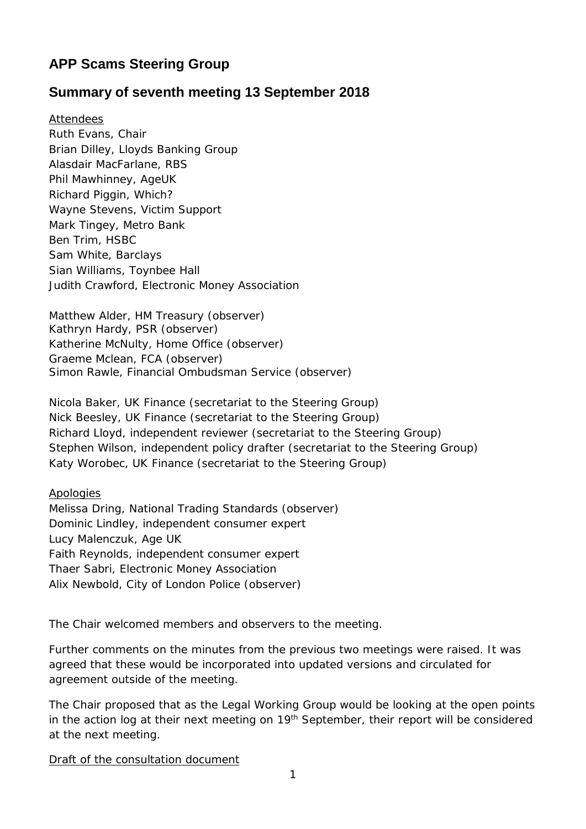## **APP Scams Steering Group**

## **Summary of seventh meeting 13 September 2018**

Attendees Ruth Evans, Chair Brian Dilley, Lloyds Banking Group Alasdair MacFarlane, RBS Phil Mawhinney, AgeUK Richard Piggin, Which? Wayne Stevens, Victim Support Mark Tingey, Metro Bank Ben Trim, HSBC Sam White, Barclays Sian Williams, Toynbee Hall Judith Crawford, Electronic Money Association

Matthew Alder, HM Treasury (observer) Kathryn Hardy, PSR (observer) Katherine McNulty, Home Office (observer) Graeme Mclean, FCA (observer) Simon Rawle, Financial Ombudsman Service (observer)

Nicola Baker, UK Finance (secretariat to the Steering Group) Nick Beesley, UK Finance (secretariat to the Steering Group) Richard Lloyd, independent reviewer (secretariat to the Steering Group) Stephen Wilson, independent policy drafter (secretariat to the Steering Group) Katy Worobec, UK Finance (secretariat to the Steering Group)

Apologies

Melissa Dring, National Trading Standards (observer) Dominic Lindley, independent consumer expert Lucy Malenczuk, Age UK Faith Reynolds, independent consumer expert Thaer Sabri, Electronic Money Association Alix Newbold, City of London Police (observer)

The Chair welcomed members and observers to the meeting.

Further comments on the minutes from the previous two meetings were raised. It was agreed that these would be incorporated into updated versions and circulated for agreement outside of the meeting.

The Chair proposed that as the Legal Working Group would be looking at the open points in the action log at their next meeting on  $19<sup>th</sup>$  September, their report will be considered at the next meeting.

Draft of the consultation document